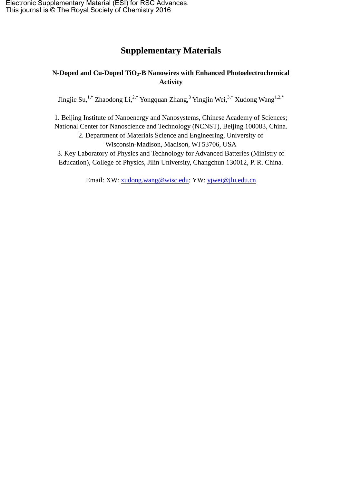## **Supplementary Materials**

## **N-Doped and Cu-Doped TiO2-B Nanowires with Enhanced Photoelectrochemical Activity**

Jingjie Su,<sup>1,†</sup> Zhaodong Li,<sup>2,†</sup> Yongquan Zhang,<sup>3</sup> Yingjin Wei,<sup>3,\*</sup> Xudong Wang<sup>1,2,\*</sup>

1. Beijing Institute of Nanoenergy and Nanosystems, Chinese Academy of Sciences; National Center for Nanoscience and Technology (NCNST), Beijing 100083, China. 2. Department of Materials Science and Engineering, University of

Wisconsin-Madison, Madison, WI 53706, USA

3. Key Laboratory of Physics and Technology for Advanced Batteries (Ministry of Education), College of Physics, Jilin University, Changchun 130012, P. R. China.

Email: XW: [xudong.wang@wisc.edu;](mailto:xudong.wang@wisc.edu) YW: [yjwei@jlu.edu.cn](mailto:yjwei@jlu.edu.cn)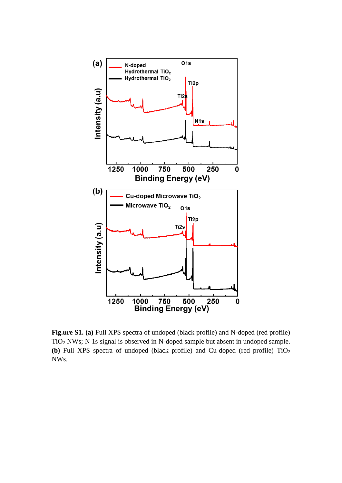

**Fig.ure S1. (a)** Full XPS spectra of undoped (black profile) and N-doped (red profile) TiO<sup>2</sup> NWs; N 1s signal is observed in N-doped sample but absent in undoped sample. **(b)** Full XPS spectra of undoped (black profile) and Cu-doped (red profile)  $TiO<sub>2</sub>$ NWs.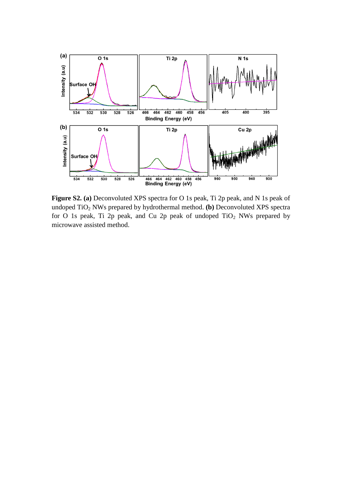

**Figure S2. (a)** Deconvoluted XPS spectra for O 1s peak, Ti 2p peak, and N 1s peak of undoped TiO<sup>2</sup> NWs prepared by hydrothermal method. **(b)** Deconvoluted XPS spectra for O 1s peak, Ti 2p peak, and Cu 2p peak of undoped  $TiO<sub>2</sub>$  NWs prepared by microwave assisted method.